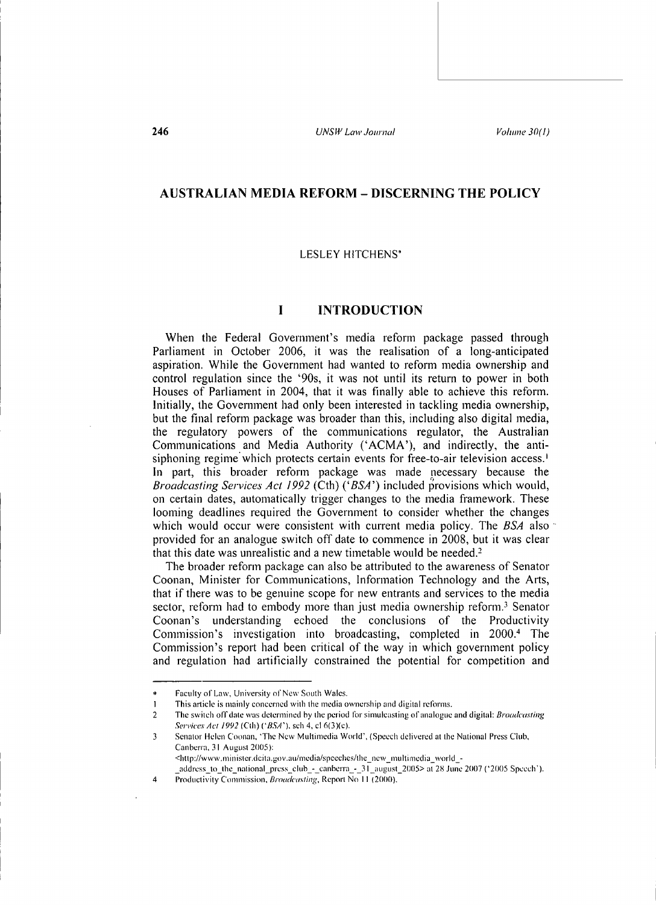## **AUSTRALIAN MEDIA REFORM- DISCERNING THE POLICY**

### LESLEY HITCHENS\*

### **I** INTRODUCTION

When the Federal Government's media reform package passed through Parliament in October 2006, it was the realisation of a long-anticipated aspiration. While the Government had wanted to reform media ownership and control regulation since the '90s, it was not until its return to power in both Houses of Parliament in 2004, that it was finally able to achieve this reform. Initially, the Govemment had only been interested in tackling media ownership, but the final reform package was broader than this, including also digital media, the regulatory powers of the communications regulator, the Australian Communications and Media Authority ('ACMA'), and indirectly, the antisiphoning regime which protects certain events for free-to-air television access.<sup>1</sup> In part, this broader reform package was made necessary because the *Broadcasting Services Act 1992 (Cth) ('BSA')* included provisions which would, on certain dates, automatically trigger changes to the media framework. These looming deadlines required the Government to consider whether the changes which would occur were consistent with current media policy. The *BSA* also provided for an analogue switch off date to commence in 2008, but it was clear that this date was unrealistic and a new timetable would be needed.<sup>2</sup>

The broader reform package can also be attributed to the awareness of Senator Coonan, Minister for Communications, Information Technology and the A1ts, that if there was to be genuine scope for new entrants and services to the media sector, reform had to embody more than just media ownership reform.<sup>3</sup> Senator Coonan's understanding echoed the conclusions of the Productivity Commission's investigation into broadcasting, completed in 2000.4 The Commission's report had been critical of the way in which government policy and regulation had artificially constrained the potential for competition and

Faculty of Law, University of New South Wales.

I This article is mainly concerned with the media ownership and digital reforms.

<sup>2</sup> The switch ofT date was determined by the period for simulcasting of analogue and digital: *Broadcasting Saviccs Act/992* (Cth) *('BSA'),* sch 4, cl6(3)(c).

<sup>3</sup> Senator Helen Coonan, 'The New Multimedia World', (Speech delivered at the National Press Club, Canberra, 31 August 2005 ): <http://www .minister.dcita.gov.au/mcdia/spccches/the \_new \_multimedia\_ world\_-

\_addrcss\_to\_lhc\_national\_press\_club\_-\_canberra\_-\_31\_august\_2005> at 2X June 2007 ( '2005 Speech').

<sup>4</sup> Productivity Commission, *Broadcasting*, Report No 11 (2000).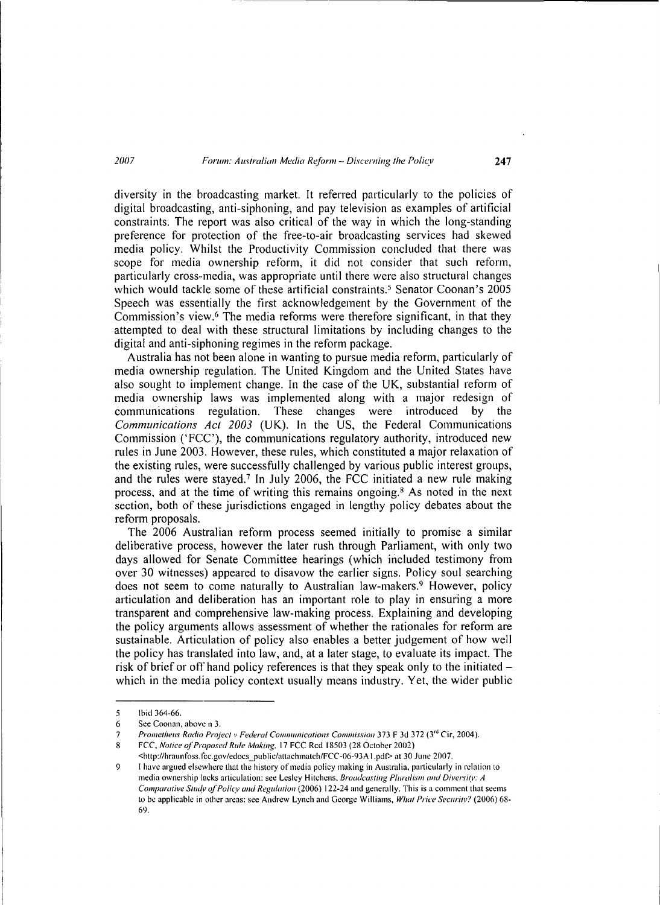diversity in the broadcasting market. It referred particularly to the policies of digital broadcasting, anti-siphoning, and pay television as examples of artificial constraints. The report was also critical of the way in which the long-standing preference for protection of the free-to-air broadcasting services had skewed media policy. Whilst the Productivity Commission concluded that there was scope for media ownership reform, it did not consider that such reform, particularly cross--media, was appropriate until there were also structural changes which would tackle some of these artificial constraints.<sup>5</sup> Senator Coonan's 2005 Speech was essentially the first acknowledgement by the Government of the Commission's view.6 The media reforms were therefore significant, in that they attempted to deal with these structural limitations by including changes to the digital and anti-siphoning regimes in the reform package.

Australia has not been alone in wanting to pursue media reform, particularly of media ownership regulation. The United Kingdom and the United States have also sought to implement change. In the case of the UK, substantial reform of media ownership laws was implemented along with a major redesign of communications regulation. These changes were introduced by the *Communications Act 2003* (UK). In the US, the Federal Communications Commission ('FCC'), the communications regulatory authority, introduced new rules in June 2003. However, these rules, which constituted a major relaxation of the existing rules, were successfully challenged by various public interest groups, and the rules were stayed.7 In July 2006, the FCC initiated a new rule making process, and at the time of writing this remains ongoing. 8 As noted in the next section, both of these jurisdictions engaged in lengthy policy debates about the reform proposals.

The 2006 Australian reform process seemed initially to promise a similar deliberative process, however the later rush through Parliament, with only two days allowed for Senate Committee hearings (which included testimony from over 30 witnesses) appeared to disavow the earlier signs. Policy soul searching does not seem to come naturally to Australian law-makers.<sup>9</sup> However, policy articulation and deliberation has an important role to play in ensuring a more transparent and comprehensive law-making process. Explaining and developing the policy arguments allows assessment of whether the rationales for reform are sustainable. Articulation of policy also enables a better judgement of how well the policy has translated into law, and, at a later stage, to evaluate its impact. The risk of brief or off hand policy references is that they speak only to the initiatedwhich in the media policy context usually means industry. Yet, the wider public

<sup>5</sup> Ibid 364-66.

<sup>6</sup> See Coonan, above n 3.

<sup>7</sup> *Prometheus Radio Projectv Federal Communications Commission* 373 F 3d 372 (3'd Cir, 2004).

<sup>8</sup> FCC, Notice of Proposed Rule Making, 17 FCC Rcd 18503 (28 October 2002)

<sup>&</sup>lt;http://hraunfoss.fcc.gov/edocs\_public/attachmatch/FCC -06-93A l.pdt> at 30 June 2007.

<sup>9</sup> I have argued elsewhere that the history of media policy making in Australia, particularly in relation to media ownership lacks articulation: see Lesley Hitchens, *Broadcasting Pluralism and Diversity: A Comparative Study of Policy and Regulation* (2006) 122-24 and generally. This is a comment that seems to be applicable in other areas: see Andrew Lynch and George Williams, *What Price Securi(v?* (2006) 68- 69.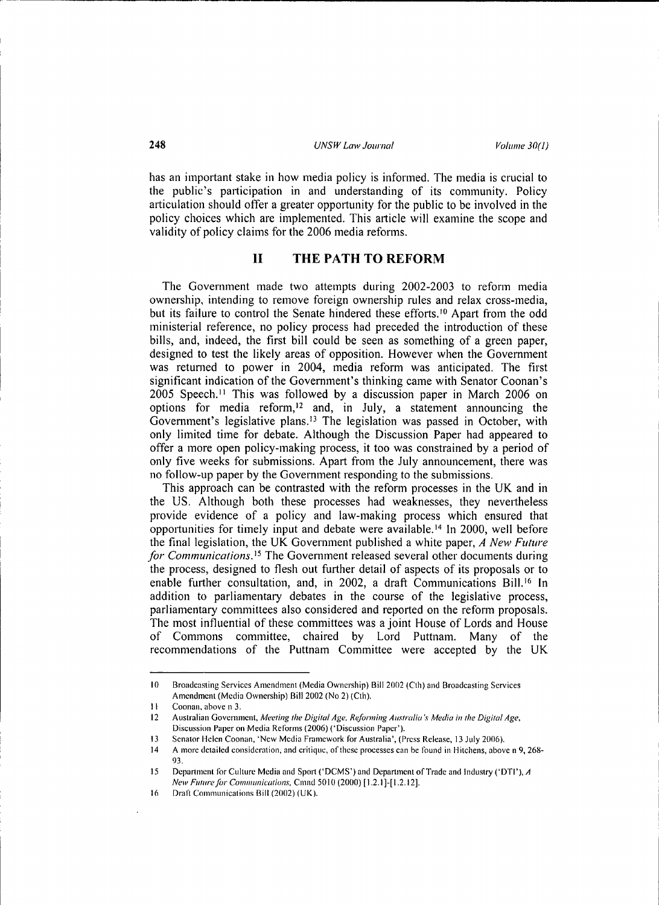has an important stake in how media policy is informed. The media is crucial to the public's participation in and understanding of its community. Policy articulation should offer a greater opportunity for the public to be involved in the policy choices which are implemented. This article will examine the scope and validity of policy claims for the 2006 media reforms.

## **II THE PATH TO REFORM**

The Govemment made two attempts during 2002-2003 to reform media ownership, intending to remove foreign ownership rules and relax cross-media, but its failure to control the Senate hindered these efforts.<sup>10</sup> Apart from the odd ministerial reference, no policy process had preceded the introduction of these bills, and, indeed, the first bill could be seen as something of a green paper, designed to test the likely areas of opposition. However when the Government was retumed to power in 2004, media reform was anticipated. The first significant indication of the Govemment's thinking came with Senator Coonan's 2005 Speech. 11 This was followed by a discussion paper in March 2006 on options for media reform,<sup>12</sup> and, in July, a statement announcing the Government's legislative plans.<sup>13</sup> The legislation was passed in October, with only limited time for debate. Although the Discussion Paper had appeared to offer a more open policy-making process, it too was constrained by a period of only five weeks for submissions. Apart from the July announcement, there was no follow-up paper by the Government responding to the submissions.

This approach can be contrasted with the reform processes in the UK and in the US. Although both these processes had weaknesses, they nevetiheless provide evidence of a policy and law-making process which ensured that opportunities for timely input and debate were available.<sup>14</sup> In 2000, well before the final legislation, the UK Govemment published a white paper, *A New Future*  for Communications.<sup>15</sup> The Government released several other documents during the process, designed to flesh out further detail of aspects of its proposals or to enable further consultation, and, in 2002, a draft Communications Bill.<sup>16</sup> In addition to parliamentary debates in the course of the legislative process, parliamentary committees also considered and reported on the reform proposals. The most influential of these committees was a joint House of Lords and House of Commons committee, chaired by Lord Puttnam. Many of the recommendations of the Puttnam Committee were accepted by the UK

<sup>10</sup> Broadcasting Services Amendment (Media Ownership) Bill 2002 (Cth) and Broadcasting Services Amendment (Media Ownership) Bill 2002 (No 2) (Cth).

II Coonan, above n 3.

<sup>12</sup> Australian Government, *Meeting the Digital Age. Reforming Australia's Media in the Digital Age,*  Discussion Paper on Media Reforms (2006) ('Discussion Paper').

<sup>13</sup> Senator Helen Coonan, 'New Media Framework for Australia', (Press Release, 13 July 2006).<br>14 A more detailed consideration, and critique, of these processes can be found in Hitchens, abov

A more detailed consideration, and critique, of these processes can be found in Hitchens, above n 9, 268-93.

<sup>15</sup> Department for Culture Media and Sport ('DCMS') and Department of Trade and Industry ('DTI'), A *New Future for Communications, Cmnd 5010 (2000)* [1.2.1]-[1.2.12].

<sup>16</sup> Draft Communications Bill (2002) (UK).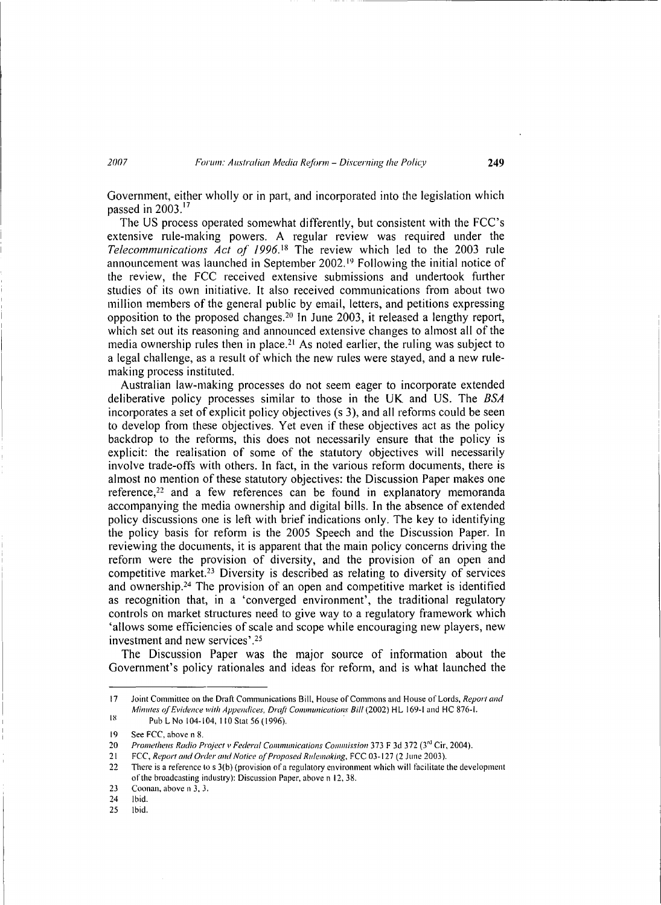Government, either wholly or in part, and incorporated into the legislation which passed in  $2003$ .<sup>17</sup>

The US process operated somewhat differently, but consistent with the FCC's extensive rule-making powers. A regular review was required under the Telecommunications Act of 1996.<sup>18</sup> The review which led to the 2003 rule announcement was launched in September 2002.<sup>19</sup> Following the initial notice of the review, the FCC received extensive submissions and undertook further studies of its own initiative. It also received communications from about two million members of the general public by email, letters, and petitions expressing opposition to the proposed changes. 20 In June 2003, it released a lengthy report, which set out its reasoning and announced extensive changes to almost all of the media ownership rules then in place.<sup>21</sup> As noted earlier, the ruling was subject to a legal challenge, as a result of which the new rules were stayed, and a new rulemaking process instituted.

Australian law-making processes do not seem eager to incorporate extended deliberative policy processes similar to those in the UK and US. The *BSA*  incorporates a set of explicit policy objectives (s 3), and all reforms could be seen to develop from these objectives. Yet even if these objectives act as the policy backdrop to the reforms, this does not necessarily ensure that the policy is explicit: the realisation of some of the statutory objectives will necessarily involve trade-offs with others. In fact, in the various reform documents, there is almost no mention of these statutory objectives: the Discussion Paper makes one reference,<sup>22</sup> and a few references can be found in explanatory memoranda accompanying the media ownership and digital bills. In the absence of extended policy discussions one is left with brief indications only. The key to identifying the policy basis for reform is the 2005 Speech and the Discussion Paper. In reviewing the documents, it is apparent that the main policy concerns driving the reform were the provision of diversity, and the provision of an open and competitive market.23 Diversity is described as relating to diversity of services and ownership.24 The provision of an open and competitive market is identified as recognition that, in a 'converged environment', the traditional regulatory controls on market structures need to give way to a regulatory framework which 'allows some efficiencies of scale and scope while encouraging new players, new investment and new services' *.zs* 

The Discussion Paper was the major source of information about the Government's policy rationales and ideas for reform, and is what launched the

<sup>17</sup>  IX Joint Committee on the Draft Communications Bill, House of Commons and House of Lords, *Report and Minutes of Evidence with Appendices, Draji Communications Bill* (2002) HL 169-1 and HC 876-1.

Pub L No 104-104, II 0 Stat 56 *(* 1996). .

<sup>19</sup>  See FCC, above n 8.

<sup>20</sup>  *Prometheus Radio Project v Federal Communications Commission* 373 F 3d 372 (3'd Cir, 2004).

<sup>21</sup>  FCC, Report and Order and Notice of Proposed Rulemaking, FCC 03-127 (2 June 2003).

<sup>22</sup>  There is a reference to s 3(b) (provision of a regulatory environment which will facilitate the development of the broadcasting industry): Discussion Paper, above n 12, 38.

 $23$ Coonan, above n 3, 3.

<sup>24</sup>  Ibid.

<sup>25</sup>  Ibid.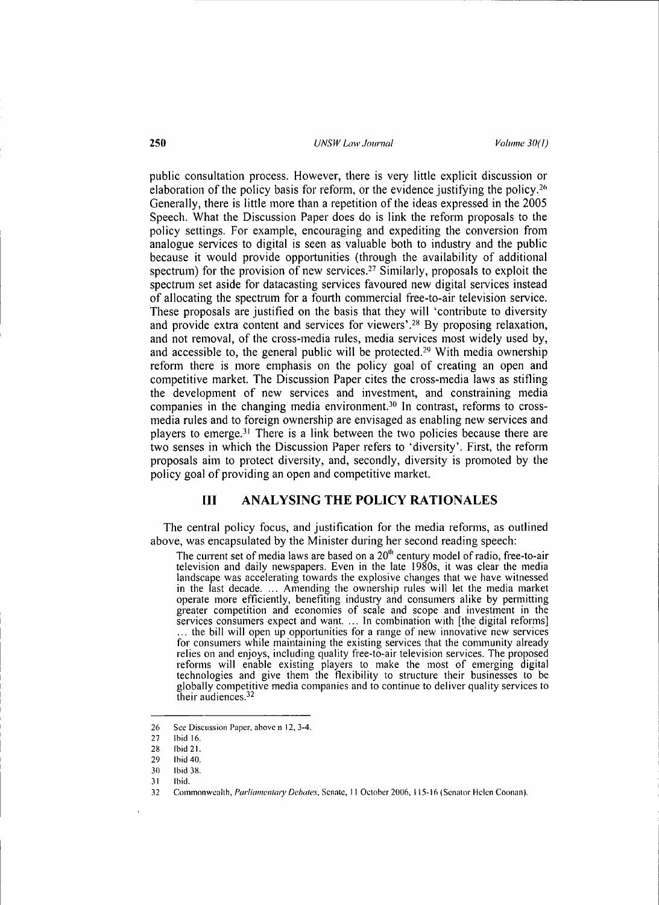public consultation process. However, there is very little explicit discussion or elaboration of the policy basis for reform, or the evidence justifying the policy.<sup>26</sup> Generally, there is little more than a repetition of the ideas expressed in the 2005 Speech. What the Discussion Paper does do is link the reform proposals to the policy settings. For example, encouraging and expediting the conversion from analogue services to digital is seen as valuable both to industry and the public because it would provide opportunities (through the availability of additional spectrum) for the provision of new services.<sup>27</sup> Similarly, proposals to exploit the spectrum set aside for datacasting services favoured new digital setvices instead of allocating the spectrum for a fourth commercial free-to-air television setvice. These proposals are justified on the basis that they will 'contribute to diversity and provide extra content and services for viewers'.<sup>28</sup> By proposing relaxation, and not removal, of the cross-media rules, media services most widely used by, and accessible to, the general public will be protected.29 With media ownership reform there is more emphasis on the policy goal of creating an open and competitive market. The Discussion Paper cites the cross-media laws as stifling the development of new setvices and investment, and constraining media companies in the changing media environment.30 In contrast, reforms to crossmedia rules and to foreign ownership are envisaged as enabling new services and players to emerge.<sup>31</sup> There is a link between the two policies because there are two senses in which the Discussion Paper refers to 'diversity'. First, the reform proposals aim to protect diversity, and, secondly, diversity is promoted by the policy goal of providing an open and competitive market.

# **HI ANALYSING THE POLICY RATIONALES**

The central policy focus, and justification for the media reforms, as outlined above, was encapsulated by the Minister during her second reading speech:

The current set of media laws are based on a  $20<sup>th</sup>$  century model of radio, free-to-air television and daily newspapers. Even in the late 1980s, it was clear the media landscape was accelerating towards the explosive changes that we have witnessed in the last decade .... Amending the ownership rules will let the media market operate more efficiently, benefiting industry and consumers alike by permitting greater competition and economies of scale and scope and investment in the services consumers expect and want. ... In combination with [the digital reforms] ... the bill will open up opportunities for a range of new innovative new services for consumers while maintaining the existing services that the community already relies on and enjoys, including quality free-to-air television services. The proposed reforms will enable existing players to make the most of emerging digital technologies and give them the flexibility to structure their businesses to be globally competitive media companies and to continue to deliver quality services to their audiences.32

<sup>26</sup> See Discussion Paper, above n 12, 3-4.

<sup>27</sup> Ibid 16.

<sup>28</sup> Ibid 21.

<sup>29</sup> Ibid 40.

<sup>30</sup> Ibid 38.

<sup>31</sup> Ibid.

<sup>32</sup> Commonwealth, *Parliamentary Debates*, Senate, 11 October 2006, 115-16 (Senator Helen Coonan).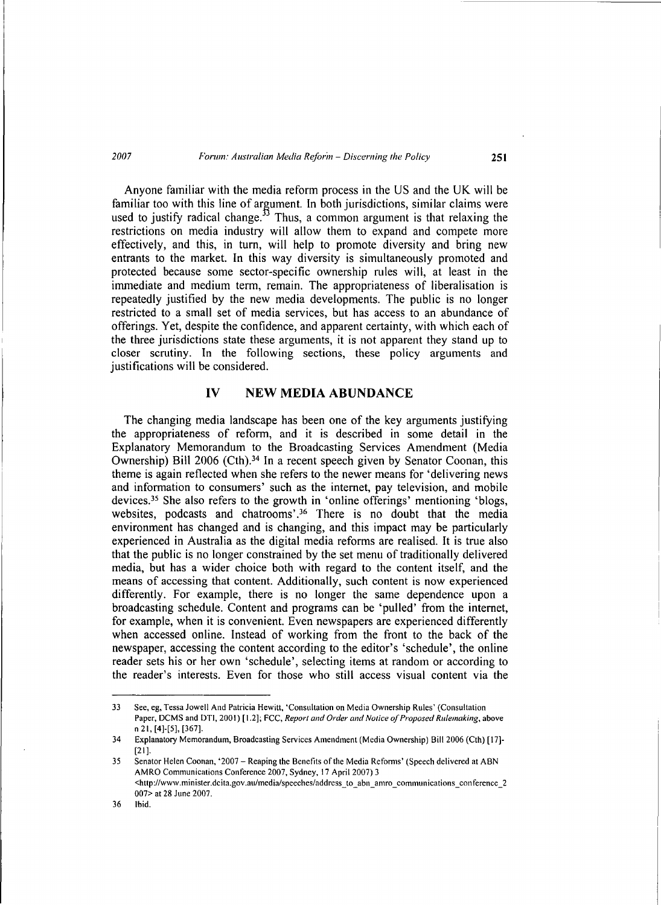#### *2007 Forum: Australian Media Reforin- Discerning the Policy* **251**

Anyone familiar with the media reform process in the US and the UK will be familiar too with this line of argument. In both jurisdictions, similar claims were used to justify radical change.<sup>33</sup> Thus, a common argument is that relaxing the restrictions on media industry will allow them to expand and compete more effectively, and this, in turn, will help to promote diversity and bring new entrants to the market. In this way diversity is simultaneously promoted and protected because some sector-specific ownership mles will, at least in the immediate and medium term, remain. The appropriateness of liberalisation is repeatedly justified by the new media developments. The public is no longer restricted to a small set of media services, but has access to an abundance of offerings. Yet, despite the confidence, and apparent certainty, with which each of the three jurisdictions state these arguments, it is not apparent they stand up to closer scrutiny. In the following sections, these policy arguments and justifications will be considered.

## **IV NEW MEDIA ABUNDANCE**

The changing media landscape has been one of the key arguments justifying the appropriateness of reform, and it is described in some detail in the Explanatory Memorandum to the Broadcasting Services Amendment (Media Ownership) Bill 2006 (Cth).<sup>34</sup> In a recent speech given by Senator Coonan, this theme is again reflected when she refers to the newer means for 'delivering news and information to consumers' such as the internet, pay television, and mobile devices.35 She also refers to the growth in 'online offerings' mentioning 'blogs, websites, podcasts and chatrooms'.<sup>36</sup> There is no doubt that the media environment has changed and is changing, and this impact may be particularly experienced in Australia as the digital media reforms are realised. It is true also that the public is no longer constrained by the set menu of traditionally delivered media, but has a wider choice both with regard to the content itself, and the means of accessing that content. Additionally, such content is now experienced differently. For example, there is no longer the same dependence upon a broadcasting schedule. Content and programs can be 'pulled' from the internet, for example, when it is convenient. Even newspapers are experienced differently when accessed online. Instead of working from the front to the back of the newspaper, accessing the content according to the editor's 'schedule', the online reader sets his or her own 'schedule', selecting items at random or according to the reader's interests. Even for those who still access visual content via the

<sup>33</sup> See, eg, Tessa Jowell And Patricia Hewitt, 'Consultation on Media Ownership Rules' (Consultation Paper, DCMS and DTI, 2001) [1.2]; FCC, *Report and Order and Notice of Proposed Rulemaking,* above n 21, [4]-[5], [367].

<sup>34</sup> Explanatory Memorandum, Broadcasting Services Amendment (Media Ownership) Bill 2006 (Cth) [ 17]- [21].

<sup>35</sup> Senator Helen Coonan, '2007 - Reaping the Benefits of the Media Reforms' (Speech delivered at ABN AMRO Communications Conference 2007, Sydney, 17 April 2007) 3 <http://www.minister.dcita.gov.au/media/speeches/address\_to\_abn\_amro\_communications\_conference\_2 007> at 28 June 2007.

<sup>36</sup> Ibid.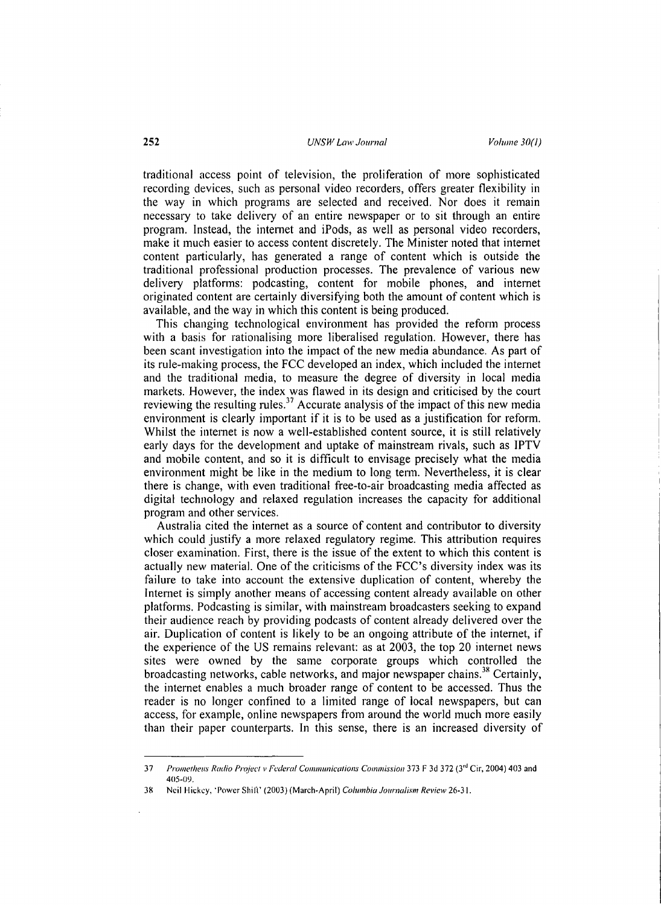traditional access point of television, the proliferation of more sophisticated recording devices, such as personal video recorders, offers greater flexibility in the way in which programs are selected and received. Nor does it remain necessmy to take delivery of an entire newspaper or to sit through an entire program. Instead, the intemet and iPods, as well as personal video recorders, make it much easier to access content discretely. The Minister noted that internet content particularly, has generated a range of content which is outside the traditional professional production processes. The prevalence of various new delivery platforms: podcasting, content for mobile phones, and internet originated content are certainly diversifying both the amount of content which is available, and the way in which this content is being produced.

This changing technological environment has provided the reform process with a basis for rationalising more liberalised regulation. However, there has been scant investigation into the impact of the new media abundance. As part of its rule-making process, the FCC developed an index, which included the intemet and the traditional media, to measure the degree of diversity in local media markets. However, the index was flawed in its design and criticised by the court reviewing the resulting rules.<sup>37</sup> Accurate analysis of the impact of this new media environment is clearly important if it is to be used as a justification for reform. Whilst the intemet is now a well-established content source, it is still relatively early days for the development and uptake of mainstream rivals, such as IPTV and mobile content, and so it is difficult to envisage precisely what the media environment might be like in the medium to long tenn. Nevertheless, it is clear there is change, with even traditional free-to-air broadcasting media affected as digital technology and relaxed regulation increases the capacity for additional program and other services.

Australia cited the internet as a source of content and contributor to diversity which could justify a more relaxed regulatory regime. This attribution requires closer examination. First, there is the issue of the extent to which this content is actually new material. One of the criticisms of the FCC's diversity index was its failure to take into account the extensive duplication of content, whereby the Internet is simply another means of accessing content already available on other platforms. Podcasting is similar, with mainstream broadcasters seeking to expand their audience reach by providing podcasts of content already delivered over the air. Duplication of content is likely to be an ongoing attribute of the intemet, if the experience of the US remains relevant: as at 2003, the top 20 internet news sites were owned by the same corporate groups which controlled the broadcasting networks, cable networks, and major newspaper chains.<sup>38</sup> Certainly, the internet enables a much broader range of content to be accessed. Thus the reader is no longer confined to a limited range of local newspapers, but can access, for example, online newspapers from around the world much more easily than their paper counterparts. In this sense, there is an increased diversity of

<sup>37</sup> *Prometheus Radio Project v Federal Communications Commission373* F 3d 372 (3'd Cir, 2004) 403 and 405-09.

<sup>38</sup> Neil Hickey, "Power Shili' (2003) (March-April) *Columbia Journalism Review* 26-31.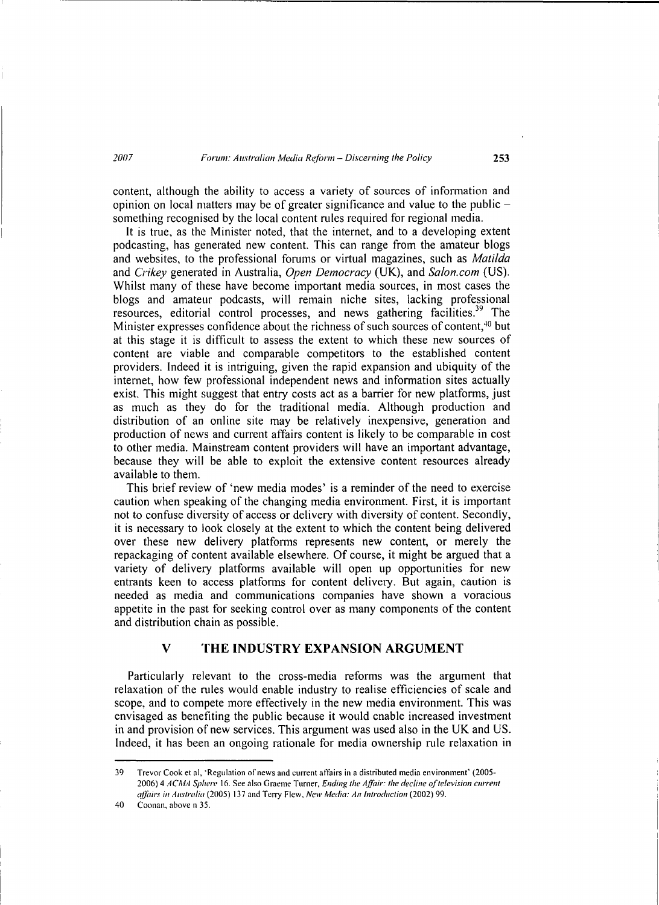content, although the ability to access a variety of sources of information and opinion on local matters may be of greater significance and value to the public something recognised by the local content mles required for regional media.

It is true, as the Minister noted, that the internet, and to a developing extent podcasting, has generated new content. This can range from the amateur blogs and websites, to the professional forums or virtual magazines, such as *Matilda*  and *Crikey* generated in Australia, *Open Democracy* (UK), and *Salon.com* (US). Whilst many of these have become important media sources, in most cases the blogs and amateur podcasts, will remain niche sites, lacking professional resources, editorial control processes, and news gathering facilities.<sup>39</sup> The Minister expresses confidence about the richness of such sources of content.<sup>40</sup> but at this stage it is difficult to assess the extent to which these new sources of content are viable and comparable competitors to the established content providers. Indeed it is intriguing, given the rapid expansion and ubiquity of the internet, how few professional independent news and information sites actually exist. This might suggest that entry costs act as a barrier for new platforms, just as much as they do for the traditional media. Although production and distribution of an online site may be relatively inexpensive, generation and production of news and current affairs content is likely to be comparable in cost to other media. Mainstream content providers will have an important advantage, because they will be able to exploit the extensive content resources already available to them.

This brief review of 'new media modes' is a reminder of the need to exercise caution when speaking of the changing media environment. First, it is important not to confuse diversity of access or delivery with diversity of content. Secondly, it is necessary to look closely at the extent to which the content being delivered over these new delivery platforms represents new content, or merely the repackaging of content available elsewhere. Of course, it might be argued that a variety of delivery platforms available will open up opportunities for new entrants keen to access platfonns for content delivery. But again, caution is needed as media and communications companies have shown a voracious appetite in the past for seeking control over as many components of the content and distribution chain as possible.

## **V THE INDUSTRY EXPANSION ARGUMENT**

Particularly relevant to the cross-media reforms was the argument that relaxation of the rules would enable industry to realise efficiencies of scale and scope, and to compete more effectively in the new media environment. This was envisaged as benefiting the public because it would enable increased investment in and provision of new services. This argument was used also in the UK and US. Indeed, it has been an ongoing rationale for media ownership rule relaxation in

<sup>39</sup> Trevor Cook et al, 'Regulation of news and current affairs in a distributed media environment' (2005-2006) 4 *ACMA Sphere* 16. See also Graeme Turner, *Ending the Affair: the decline of television current affairs in Australia* (2005) 137 and Terry Flew, *New Media: An introduction* (2002) 99.

<sup>40</sup> Coonan, above n 35.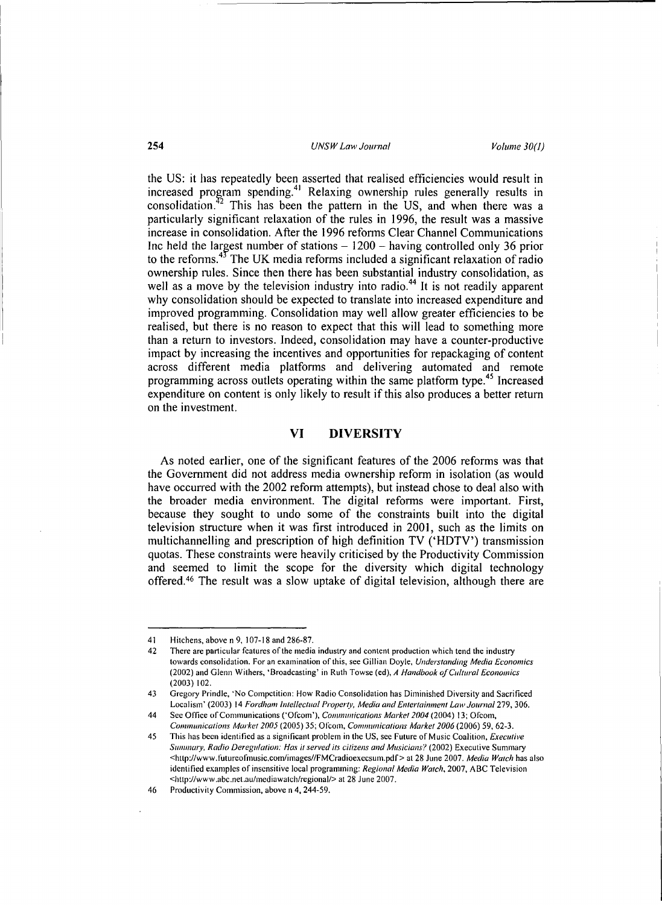the US: it has repeatedly been asserted that realised efficiencies would result in increased program spending.<sup>41</sup> Relaxing ownership rules generally results in consolidation.<sup>42</sup> This has been the pattern in the US, and when there was a  $\mu^2$  This has been the pattern in the US, and when there was a particularly significant relaxation of the rules in 1996, the result was a massive increase in consolidation. After the 1996 refonns Clear Channel Communications Inc held the largest number of stations  $-1200$  - having controlled only 36 prior to the reforms. $43$  The UK media reforms included a significant relaxation of radio ownership rules. Since then there has been substantial industry consolidation, as well as a move by the television industry into radio.<sup>44</sup> It is not readily apparent why consolidation should be expected to translate into increased expenditure and improved programming. Consolidation may well allow greater efficiencies to be realised, but there is no reason to expect that this will lead to something more than a return to investors. Indeed, consolidation may have a counter-productive impact by increasing the incentives and opportunities for repackaging of content across different media platfonns and delivering automated and remote programming across outlets operating within the same platform type.<sup>45</sup> Increased expenditure on content is only likely to result if this also produces a better return on the investment.

# **VI DIVERSITY**

As noted earlier, one of the significant features of the 2006 refonns was that the Government did not address media ownership refonn in isolation (as would have occurred with the 2002 reform attempts), but instead chose to deal also with the broader media environment. The digital refonns were important. First, because they sought to undo some of the constraints built into the digital television structure when it was first introduced in 2001, such as the limits on multichannelling and prescription of high definition TV ('HDTV') transmission quotas. These constraints were heavily criticised by the Productivity Commission and seemed to limit the scope for the diversity which digital technology offered.46 The result was a slow uptake of digital television, although there are

<sup>41</sup> Hitchens, above n 9, 107-18 and 286-87.

<sup>42</sup> There are particular features of the media industry and content production which tend the industry towards consolidation. For an examination of this, see Gillian Doyle, *Understanding Media Economics*  (2002) and Glenn Withers, 'Broadcasting' in Ruth Towse (ed), A Handbook of Cultural Economics  $(2003) 102.$ 

<sup>43</sup> Gregory Prindle, 'No Competition: How Radio Consolidation has Diminished Diversity and Sacrificed Localism' (2003) 14 *Fordham Intellectual Property, Media and Entertainment Law Journal* 279, 306.

<sup>44</sup> Sec Office of Communications ('Ofcorn'), *Communications Market 2004* (2004) 13; Ofcom, *Communications Market 2005* (2005) 35; Olcom, *Communications Market 2006* (2006) 59, 62-3.

<sup>45</sup> This has been identified as a significant problem in the US, see Future of Music Coalition, *Executive Summary, Radio Deregulation: Has it served its citizens and Musicians?* (2002) Executive Summary <http://www.futureolinusic.com/images//FMCradioexccsum.pdf> at 28 June 2007. *Media Watch* has also identified examples of insensitive local programming: *Regional Media Watch,* 2007, ABC Television <http://www .abc.net.au/mediawatch/regional/> at 28 June 2007.

<sup>46</sup> Productivity Commission, above n 4, 244-59.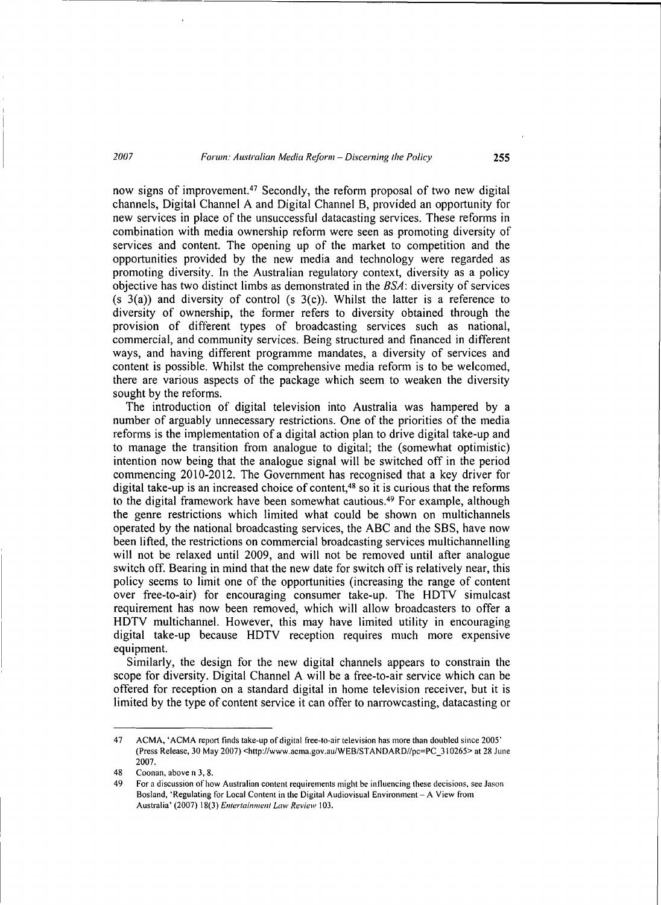now signs of improvement.47 Secondly, the reform proposal of two new digital channels, Digital Channel A and Digital Channel B, provided an opportunity for new services in place of the unsuccessful datacasting services. These reforms in combination with media ownership reform were seen as promoting diversity of services and content. The opening up of the market to competition and the opportunities provided by the new media and technology were regarded as promoting diversity. In the Australian regulatory context, diversity as a policy objective has two distinct limbs as demonstrated in the BSA: diversity of services (s  $3(a)$ ) and diversity of control (s  $3(c)$ ). Whilst the latter is a reference to diversity of ownership, the former refers to diversity obtained through the provision of different types of broadcasting services such as national, commercial, and community services. Being structured and financed in different ways, and having different programme mandates, a diversity of services and content is possible. Whilst the comprehensive media reform is to be welcomed, there are various aspects of the package which seem to weaken the diversity sought by the reforms.

The introduction of digital television into Australia was hampered by a number of arguably unnecessary restrictions. One of the priorities of the media reforms is the implementation of a digital action plan to drive digital take-up and to manage the transition from analogue to digital; the (somewhat optimistic) intention now being that the analogue signal will be switched off in the period commencing 2010-2012. The Government has recognised that a key driver for digital take-up is an increased choice of content,48 so it is curious that the reforms to the digital framework have been somewhat cautious.49 For example, although the genre restrictions which limited what could be shown on multichannels operated by the national broadcasting services, the ABC and the SBS, have now been lifted, the restrictions on commercial broadcasting services multichannelling will not be relaxed until 2009, and will not be removed until after analogue switch off. Bearing in mind that the new date for switch off is relatively near, this policy seems to limit one of the opportunities (increasing the range of content over free-to-air) for encouraging consumer take-up. The HDTV simulcast requirement has now been removed, which will allow broadcasters to offer a HDTV multichannel. However, this may have limited utility in encouraging digital take-up because HDTV reception requires much more expensive equipment.

Similarly, the design for the new digital channels appears to constrain the scope for diversity. Digital Channel A will be a free-to-air service which can be offered for reception on a standard digital in home television receiver, but it is limited by the type of content service it can offer to narrowcasting, datacasting or

<sup>47</sup> ACMA, 'ACMA report finds take-up of digital free-to-air television has more than doubled since 2005' (Press Release, 30 May 2007) <http://www.acma.gov.au/WEB/STANDARD//pc=PC\_310265> at 28 June 2007.

<sup>48</sup> Coonan, above n 3, 8.

<sup>49</sup> For a discussion of how Australian content requirements might be intluencing these decisions, see Jason Bosland, 'Regulating for Local Content in the Digital Audiovisual Environment- A View from Australia' (2007) 18(3) *Entertainment Law Review* 103.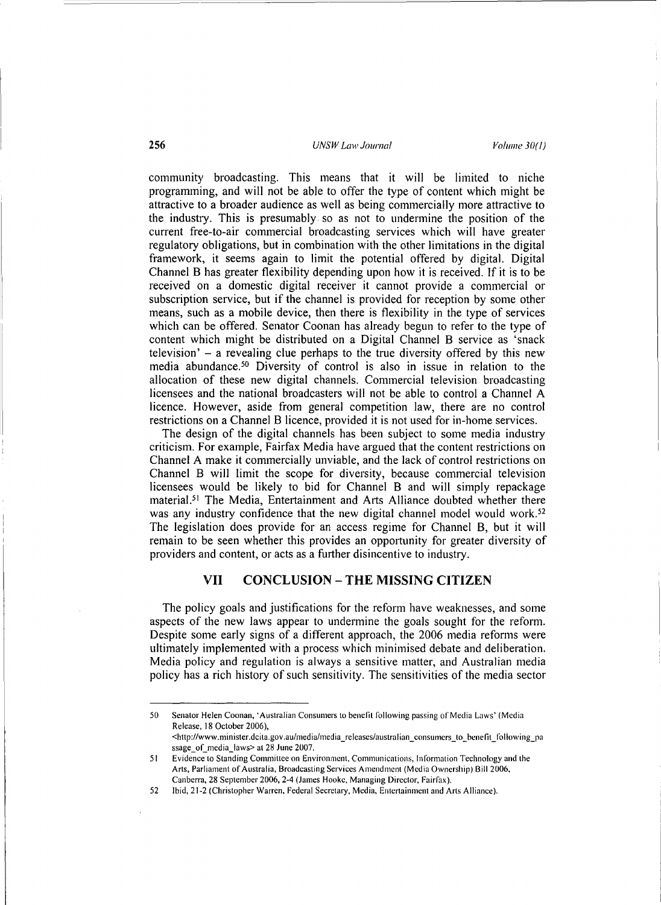community broadcasting. This means that it will be limited to niche programming, and will not be able to offer the type of content which might be attractive to a broader audience as well as being commercially more attractive to the industry. This is presumably so as not to undermine the position of the current free-to-air commercial broadcasting services which will have greater regulatory obligations, but in combination with the other limitations in the digital framework, it seems again to limit the potential offered by digital. Digital Channel B has greater flexibility depending upon how it is received. If it is to be received on a domestic digital receiver it cannot provide a commercial or subscription service, but if the channel is provided for reception by some other means, such as a mobile device, then there is flexibility in the type of services which can be offered. Senator Coonan has already begun to refer to the type of content which might be distributed on a Digital Channel B service as 'snack television'  $-$  a revealing clue perhaps to the true diversity offered by this new media abundance.<sup>50</sup> Diversity of control is also in issue in relation to the allocation of these new digital channels. Commercial television broadcasting licensees and the national broadcasters will not be able to control a Channel A licence. However, aside from general competition law, there are no control restrictions on a Channel B licence, provided it is not used for in-home services.

The design of the digital channels has been subject to some media industry criticism. For example, Fairfax Media have argued that the content restrictions on Channel A make it commercially unviable, and the lack of control restrictions on Channel B will limit the scope for diversity, because commercial television licensees would be likely to bid for Channel B and will simply repackage material.<sup>51</sup> The Media, Entertainment and Arts Alliance doubted whether there was any industry confidence that the new digital channel model would work.<sup>52</sup> The legislation does provide for an access regime for Channel B, but it will remain to be seen whether this provides an opportunity for greater diversity of providers and content, or acts as a further disincentive to industty.

# VII CONCLUSION- **THE** MISSING CITIZEN

The policy goals and justifications for the reform have weaknesses, and some aspects of the new laws appear to undermine the goals sought for the reform. Despite some early signs of a different approach, the 2006 media reforms were ultimately implemented with a process which minimised debate and deliberation. Media policy and regulation is always a sensitive matter, and Australian media policy has a rich history of such sensitivity. The sensitivities of the media sector

<sup>50</sup> Senator Helen Coonan, ·Australian Consumers to benefit following passing of Media Laws' (Media Release, 18 October 2006), <http://www .minister.deita.gov .au/media/media \_releases/austral ian\_ consumers\_ to\_ benefit\_ following\_pa

ssage\_of\_media\_laws> at 28 June 2007. 51 Evidence to Standing Committee on Environment, Communications, Information Technology and the Arts, Parliament of Australia, Broadcasting Services Amendment (Media Ownership) Bill 2006,

Canberra, 28 September 2006, 2-4 (James Hooke, Managing Director, Fairfax).

<sup>52</sup> Ibid, 21-2 (Christopher Warren, Federal Secretary, Media, Entertainment and Arts Alliance).